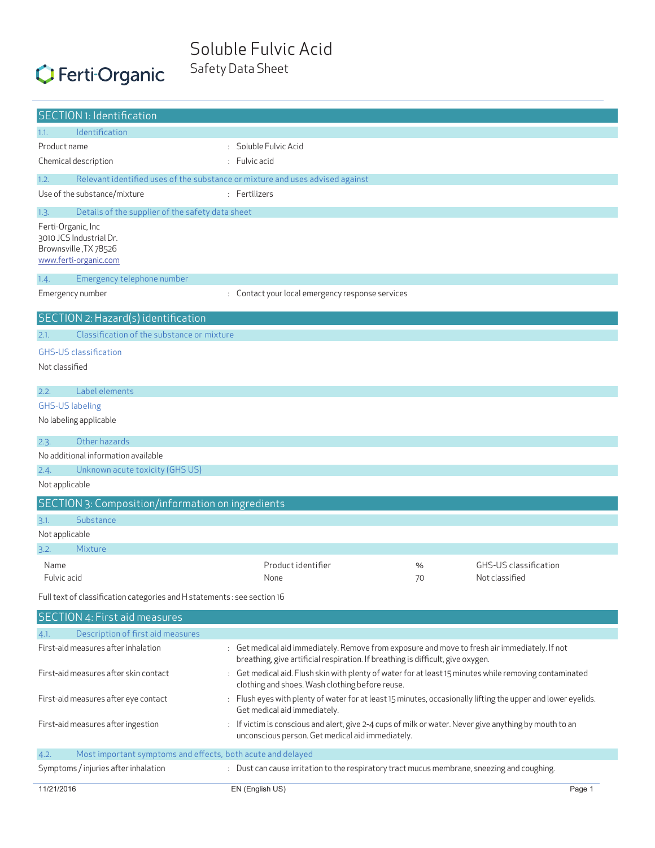### Soluble Fulvic Acid Safety Data Sheet

# C Ferti Organic

|                | <b>SECTION 1: Identification</b>                                                                                                                                                                 |                                                                                                                                                                                  |    |                              |
|----------------|--------------------------------------------------------------------------------------------------------------------------------------------------------------------------------------------------|----------------------------------------------------------------------------------------------------------------------------------------------------------------------------------|----|------------------------------|
| 1.1.           | Identification                                                                                                                                                                                   |                                                                                                                                                                                  |    |                              |
| Product name   |                                                                                                                                                                                                  | : Soluble Fulvic Acid                                                                                                                                                            |    |                              |
|                | Chemical description                                                                                                                                                                             | : Fulvic acid                                                                                                                                                                    |    |                              |
| 1.2.           |                                                                                                                                                                                                  | Relevant identified uses of the substance or mixture and uses advised against                                                                                                    |    |                              |
|                | Use of the substance/mixture                                                                                                                                                                     | : Fertilizers                                                                                                                                                                    |    |                              |
| 1.3.           | Details of the supplier of the safety data sheet                                                                                                                                                 |                                                                                                                                                                                  |    |                              |
|                | Ferti-Organic, Inc<br>3010 JCS Industrial Dr.<br>Brownsville, TX 78526<br>www.ferti-organic.com                                                                                                  |                                                                                                                                                                                  |    |                              |
| 1.4.           | Emergency telephone number                                                                                                                                                                       |                                                                                                                                                                                  |    |                              |
|                | Emergency number                                                                                                                                                                                 | : Contact your local emergency response services                                                                                                                                 |    |                              |
|                | SECTION 2: Hazard(s) identification                                                                                                                                                              |                                                                                                                                                                                  |    |                              |
| 2.1.           | Classification of the substance or mixture                                                                                                                                                       |                                                                                                                                                                                  |    |                              |
|                | <b>GHS-US classification</b>                                                                                                                                                                     |                                                                                                                                                                                  |    |                              |
| Not classified |                                                                                                                                                                                                  |                                                                                                                                                                                  |    |                              |
| 2.2.           | Label elements                                                                                                                                                                                   |                                                                                                                                                                                  |    |                              |
|                | <b>GHS-US labeling</b>                                                                                                                                                                           |                                                                                                                                                                                  |    |                              |
|                | No labeling applicable                                                                                                                                                                           |                                                                                                                                                                                  |    |                              |
| 2.3.           | Other hazards                                                                                                                                                                                    |                                                                                                                                                                                  |    |                              |
|                | No additional information available                                                                                                                                                              |                                                                                                                                                                                  |    |                              |
| 2.4.           | Unknown acute toxicity (GHS US)                                                                                                                                                                  |                                                                                                                                                                                  |    |                              |
| Not applicable |                                                                                                                                                                                                  |                                                                                                                                                                                  |    |                              |
|                | SECTION 3: Composition/information on ingredients                                                                                                                                                |                                                                                                                                                                                  |    |                              |
| 3.1.           | Substance                                                                                                                                                                                        |                                                                                                                                                                                  |    |                              |
| Not applicable |                                                                                                                                                                                                  |                                                                                                                                                                                  |    |                              |
| 3.2.           | Mixture                                                                                                                                                                                          |                                                                                                                                                                                  |    |                              |
| Name           |                                                                                                                                                                                                  | Product identifier                                                                                                                                                               | %  | <b>GHS-US</b> classification |
| Fulvic acid    |                                                                                                                                                                                                  | None                                                                                                                                                                             | 70 | Not classified               |
|                | Full text of classification categories and H statements : see section 16                                                                                                                         |                                                                                                                                                                                  |    |                              |
|                | <b>SECTION 4: First aid measures</b>                                                                                                                                                             |                                                                                                                                                                                  |    |                              |
| 4.1.           | Description of first aid measures                                                                                                                                                                |                                                                                                                                                                                  |    |                              |
|                | First-aid measures after inhalation                                                                                                                                                              | : Get medical aid immediately. Remove from exposure and move to fresh air immediately. If not<br>breathing, give artificial respiration. If breathing is difficult, give oxygen. |    |                              |
|                | First-aid measures after skin contact                                                                                                                                                            | : Get medical aid. Flush skin with plenty of water for at least 15 minutes while removing contaminated<br>clothing and shoes. Wash clothing before reuse.                        |    |                              |
|                | First-aid measures after eye contact                                                                                                                                                             | : Flush eyes with plenty of water for at least 15 minutes, occasionally lifting the upper and lower eyelids.<br>Get medical aid immediately.                                     |    |                              |
|                | First-aid measures after ingestion<br>: If victim is conscious and alert, give 2-4 cups of milk or water. Never give anything by mouth to an<br>unconscious person. Get medical aid immediately. |                                                                                                                                                                                  |    |                              |
| 4.2.           | Most important symptoms and effects, both acute and delayed                                                                                                                                      |                                                                                                                                                                                  |    |                              |
|                | Symptoms / injuries after inhalation                                                                                                                                                             | : Dust can cause irritation to the respiratory tract mucus membrane, sneezing and coughing.                                                                                      |    |                              |
| 11/21/2016     |                                                                                                                                                                                                  | EN (English US)                                                                                                                                                                  |    | Page 1                       |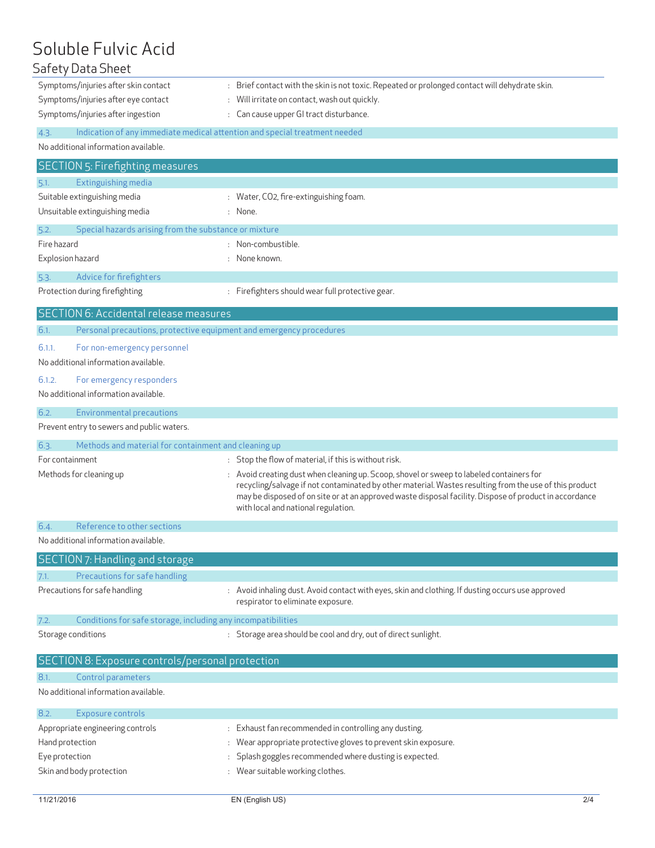## Soluble Fulvic Acid

| Safety Data Sheet                                                                  |                                                                                                                                                                                                                  |
|------------------------------------------------------------------------------------|------------------------------------------------------------------------------------------------------------------------------------------------------------------------------------------------------------------|
| Symptoms/injuries after skin contact                                               | : Brief contact with the skin is not toxic. Repeated or prolonged contact will dehydrate skin.                                                                                                                   |
| Symptoms/injuries after eye contact                                                | Will irritate on contact, wash out quickly.                                                                                                                                                                      |
| Symptoms/injuries after ingestion                                                  | : Can cause upper GI tract disturbance.                                                                                                                                                                          |
| Indication of any immediate medical attention and special treatment needed<br>4.3. |                                                                                                                                                                                                                  |
| No additional information available.                                               |                                                                                                                                                                                                                  |
|                                                                                    |                                                                                                                                                                                                                  |
| <b>SECTION 5: Firefighting measures</b>                                            |                                                                                                                                                                                                                  |
| Extinguishing media<br>5.1.                                                        |                                                                                                                                                                                                                  |
| Suitable extinguishing media<br>Unsuitable extinguishing media                     | : Water, CO2, fire-extinguishing foam.<br>: None.                                                                                                                                                                |
|                                                                                    |                                                                                                                                                                                                                  |
| Special hazards arising from the substance or mixture<br>5.2.                      |                                                                                                                                                                                                                  |
| Fire hazard                                                                        | : Non-combustible.                                                                                                                                                                                               |
| Explosion hazard                                                                   | : None known.                                                                                                                                                                                                    |
| Advice for firefighters<br>5.3.                                                    |                                                                                                                                                                                                                  |
| Protection during firefighting                                                     | : Firefighters should wear full protective gear.                                                                                                                                                                 |
| SECTION 6: Accidental release measures                                             |                                                                                                                                                                                                                  |
| 6.1.<br>Personal precautions, protective equipment and emergency procedures        |                                                                                                                                                                                                                  |
| 6.1.1.<br>For non-emergency personnel                                              |                                                                                                                                                                                                                  |
| No additional information available.                                               |                                                                                                                                                                                                                  |
|                                                                                    |                                                                                                                                                                                                                  |
| 6.1.2.<br>For emergency responders<br>No additional information available.         |                                                                                                                                                                                                                  |
|                                                                                    |                                                                                                                                                                                                                  |
| 6.2.<br><b>Environmental precautions</b>                                           |                                                                                                                                                                                                                  |
| Prevent entry to sewers and public waters.                                         |                                                                                                                                                                                                                  |
| Methods and material for containment and cleaning up<br>6.3.                       |                                                                                                                                                                                                                  |
|                                                                                    |                                                                                                                                                                                                                  |
| For containment                                                                    | : Stop the flow of material, if this is without risk.                                                                                                                                                            |
| Methods for cleaning up                                                            | : Avoid creating dust when cleaning up. Scoop, shovel or sweep to labeled containers for                                                                                                                         |
|                                                                                    | recycling/salvage if not contaminated by other material. Wastes resulting from the use of this product<br>may be disposed of on site or at an approved waste disposal facility. Dispose of product in accordance |
|                                                                                    | with local and national regulation.                                                                                                                                                                              |
| Reference to other sections<br>6.4.                                                |                                                                                                                                                                                                                  |
| No additional information available.                                               |                                                                                                                                                                                                                  |
|                                                                                    |                                                                                                                                                                                                                  |
| SECTION 7: Handling and storage                                                    |                                                                                                                                                                                                                  |
| Precautions for safe handling<br>7.1.                                              |                                                                                                                                                                                                                  |
| Precautions for safe handling                                                      | Avoid inhaling dust. Avoid contact with eyes, skin and clothing. If dusting occurs use approved<br>respirator to eliminate exposure.                                                                             |
| 7.2.                                                                               |                                                                                                                                                                                                                  |
| Conditions for safe storage, including any incompatibilities                       |                                                                                                                                                                                                                  |
| Storage conditions                                                                 | : Storage area should be cool and dry, out of direct sunlight.                                                                                                                                                   |
| SECTION 8: Exposure controls/personal protection                                   |                                                                                                                                                                                                                  |
| Control parameters<br>8.1.                                                         |                                                                                                                                                                                                                  |
| No additional information available.                                               |                                                                                                                                                                                                                  |
|                                                                                    |                                                                                                                                                                                                                  |
| Exposure controls<br>8.2.                                                          |                                                                                                                                                                                                                  |
| Appropriate engineering controls                                                   | : Exhaust fan recommended in controlling any dusting.                                                                                                                                                            |
| Hand protection                                                                    | Wear appropriate protective gloves to prevent skin exposure.                                                                                                                                                     |
| Eye protection<br>Skin and body protection                                         | Splash goggles recommended where dusting is expected.<br>: Wear suitable working clothes.                                                                                                                        |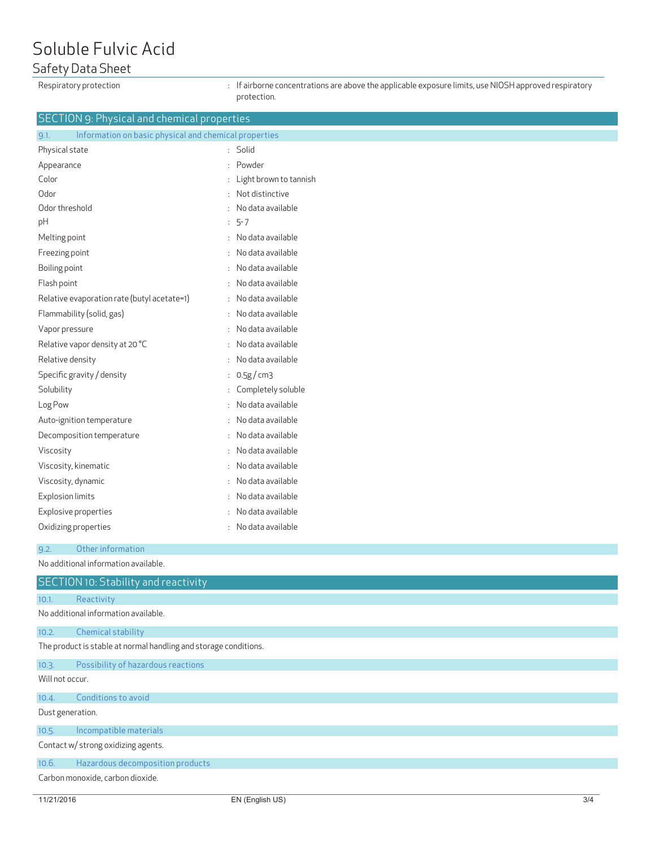## Soluble Fulvic Acid

### Safety Data Sheet

Respiratory protection **interval of the accentrations** are above the applicable exposure limits, use NIOSH approved respiratory protection.

#### SECTION 9: Physical and chemical properties

| Information on basic physical and chemical properties<br>9.1. |    |                        |
|---------------------------------------------------------------|----|------------------------|
| Physical state                                                | ÷  | Solid                  |
| Appearance                                                    | ۰  | Powder                 |
| Color                                                         |    | Light brown to tannish |
| Odor                                                          |    | Not distinctive        |
| Odor threshold                                                |    | No data available      |
| pH                                                            | ÷. | $5 - 7$                |
| Melting point                                                 |    | No data available      |
| Freezing point                                                | ÷. | No data available      |
| Boiling point                                                 |    | No data available      |
| Flash point                                                   |    | No data available      |
| Relative evaporation rate (butyl acetate=1)                   | ÷  | No data available      |
| Flammability (solid, gas)                                     | ÷  | No data available      |
| Vapor pressure                                                | ÷  | No data available      |
| Relative vapor density at 20 °C                               |    | No data available      |
| Relative density                                              | ٠  | No data available      |
| Specific gravity / density                                    | ÷. | 0.5g/cm3               |
| Solubility                                                    | ÷  | Completely soluble     |
| Log Pow                                                       |    | No data available      |
| Auto-ignition temperature                                     |    | No data available      |
| Decomposition temperature                                     | ٠  | No data available      |
| Viscosity                                                     | ÷  | No data available      |
| Viscosity, kinematic                                          |    | No data available      |
| Viscosity, dynamic                                            |    | No data available      |
| <b>Explosion limits</b>                                       | ٠  | No data available      |
| Explosive properties                                          |    | No data available      |
| Oxidizing properties                                          |    | No data available      |
|                                                               |    |                        |

9.2. Other information

No additional information available.

|                                     | <b>SECTION 10: Stability and reactivity</b>                      |  |
|-------------------------------------|------------------------------------------------------------------|--|
| 10.1.                               | Reactivity                                                       |  |
|                                     | No additional information available.                             |  |
| 10.2.                               | Chemical stability                                               |  |
|                                     | The product is stable at normal handling and storage conditions. |  |
| 10.3.                               | Possibility of hazardous reactions                               |  |
| Will not occur.                     |                                                                  |  |
| 10.4.                               | Conditions to avoid                                              |  |
| Dust generation.                    |                                                                  |  |
| 10.5.                               | Incompatible materials                                           |  |
| Contact w/ strong oxidizing agents. |                                                                  |  |
| 10.6.                               | Hazardous decomposition products                                 |  |
| Carbon monoxide, carbon dioxide.    |                                                                  |  |